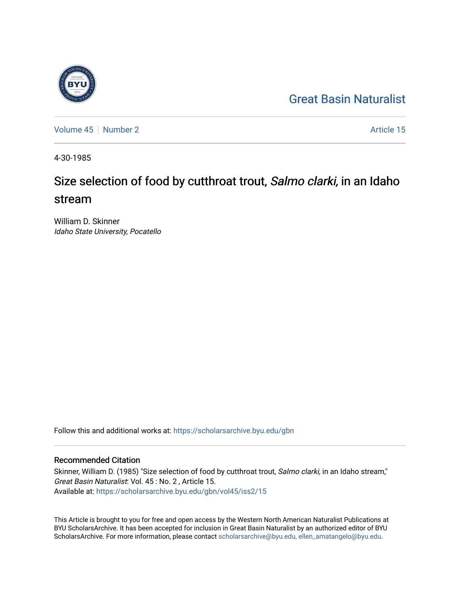## [Great Basin Naturalist](https://scholarsarchive.byu.edu/gbn)

[Volume 45](https://scholarsarchive.byu.edu/gbn/vol45) [Number 2](https://scholarsarchive.byu.edu/gbn/vol45/iss2) Article 15

4-30-1985

# Size selection of food by cutthroat trout, Salmo clarki, in an Idaho stream

William D. Skinner Idaho State University, Pocatello

Follow this and additional works at: [https://scholarsarchive.byu.edu/gbn](https://scholarsarchive.byu.edu/gbn?utm_source=scholarsarchive.byu.edu%2Fgbn%2Fvol45%2Fiss2%2F15&utm_medium=PDF&utm_campaign=PDFCoverPages) 

### Recommended Citation

Skinner, William D. (1985) "Size selection of food by cutthroat trout, Salmo clarki, in an Idaho stream," Great Basin Naturalist: Vol. 45 : No. 2 , Article 15. Available at: [https://scholarsarchive.byu.edu/gbn/vol45/iss2/15](https://scholarsarchive.byu.edu/gbn/vol45/iss2/15?utm_source=scholarsarchive.byu.edu%2Fgbn%2Fvol45%2Fiss2%2F15&utm_medium=PDF&utm_campaign=PDFCoverPages) 

This Article is brought to you for free and open access by the Western North American Naturalist Publications at BYU ScholarsArchive. It has been accepted for inclusion in Great Basin Naturalist by an authorized editor of BYU ScholarsArchive. For more information, please contact [scholarsarchive@byu.edu, ellen\\_amatangelo@byu.edu.](mailto:scholarsarchive@byu.edu,%20ellen_amatangelo@byu.edu)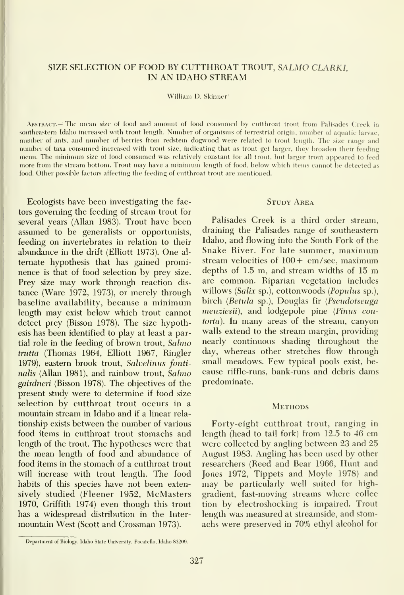#### SIZE SELECTION OF FOOD BY CUTTHROAT TROUT, SALMO CLARKI, IN AN IDAHO STREAM

William D. Skinner'

Abstract.— The mean size of food and amount of food consumed by cutthroat trout from Palisades Creek in southeastern Idaho increased with trout length. Number of organisms of terrestrial origin, number of aquatic larvae, number of ants, and number of berries fiom redstem dogwood were related to trout length. The size range and number of taxa consumed increased with trout size, indicating that as trout get larger, they broaden their feeding menu. The minimum size of food consumed was relatively constant for all trout, but larger trout appeared to feed more from the stream bottom. Trout may have <sup>a</sup> minimum length of food, below w hich items cannot be detected as food. Other possible factors affecting the feeding of cutthroat trout are mentioned.

Ecologists have been investigating the factors governing the feeding of stream trout for several years (Allan 1983). Trout have been assumed to be generalists or opportunists, feeding on invertebrates in relation to their abundance in the drift (Elliott 1973). One alternate hypothesis that has gained promi nence is that of food selection by prey size. Prey size may work through reaction dis tance (Ware 1972, 1973), or merely through baseline availability, because <sup>a</sup> minimum length may exist below which trout cannot detect prey (Bisson 1978). The size hypothesis has been identified to play at least a partial role in the feeding of brown trout, Sahno trutta (Thomas 1964, Elliott 1967, Ringler 1979), eastern brook trout, Salvelinus fontinalis (Allan 1981), and rainbow trout, Salmo gairdneri (Bisson 1978). The objectives of the present study were to determine if food size selection by cutthroat trout occurs in a mountain stream in Idaho and if a linear rela tionship exists between the number of various food items in cutthroat trout stomachs and length of the trout. The hypotheses were that the mean length of food and abundance of food items in the stomach of a cutthroat trout will increase with trout length. The food habits of this species have not been extensively studied (Fleener 1952, McMasters 1970, Griffith 1974) even though this trout has a widespread distribution in the Inter mountain West (Scott and Crossman 1973).

Palisades Creek is a third order stream, draining the Palisades range of southeastern Idaho, and flowing into the South Fork of the Snake River. For late summer, maximum stream velocities of  $100 + cm/sec$ , maximum depths of 1.5 m, and stream widths of <sup>15</sup> m are common. Riparian vegetation includes willows (Salix sp.), cottonwoods (Populus sp.), birch (Betula sp.), Douglas fir (Pseudotseuga menziesii), and lodgepole pine (Pinus contorta). In many areas of the stream, canyon walls extend to the stream margin, providing nearly continuous shading throughout the day, whereas other stretches flow through small meadows. Few typical pools exist, be cause riffle-runs, bank-runs and debris dams predominate.

#### **METHODS**

Forty-eight cutthroat trout, ranging in length (head to tail fork) from 12.5 to 46 cm were collected by angling between 23 and 25 August 1983. Angling has been used by other researchers (Reed and Bear 1966, Hunt and Jones 1972, Tippets and Moyle 1978) and may be particularly well suited for highgradient, fast-moving streams where collec tion by electroshocking is impaired. Trout length was measured at streamside, and stomachs were preserved in 70% ethyl alcohol for

**STUDY AREA** 

Department of Biology, Idaho State University, Poeatello, Idaho 83209.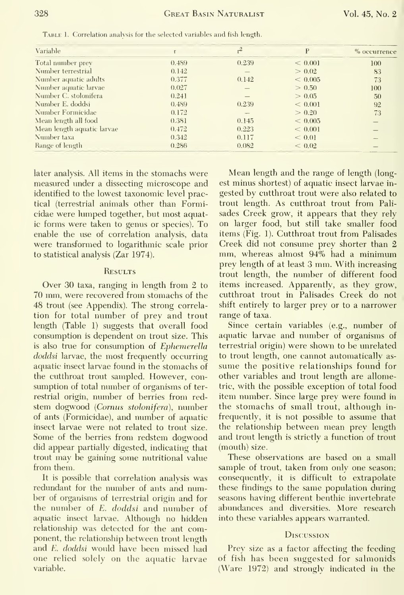| Variable                   |       | r <sup>2</sup> | P           | % occurrence    |
|----------------------------|-------|----------------|-------------|-----------------|
| Total number prev          | 0.489 | 0.239          | ${}< 0.001$ | 100             |
| Number terrestrial         | 0.142 |                | > 0.02      | 83              |
| Number aquatic adults      | 0.377 | 0.142          | < 0.005     | 73              |
| Number aquatic larvae      | 0.027 |                | > 0.50      | 100             |
| Number C. stolonifera      | 0.241 |                | > 0.05      | 50 <sub>2</sub> |
| Number E. doddsi           | 0.489 | 0.239          | ${}< 0.001$ | 92              |
| Number Formicidae          | 0.172 |                | > 0.20      | 73              |
| Mean length all food       | 0.381 | 0.145          | < 0.005     |                 |
| Mean length aquatic larvae | 0.472 | 0.223          | < 0.001     |                 |
| Number taxa                | 0.342 | 0.117          | < 0.01      |                 |
| Range of length            | 0.286 | 0.082          | ${}< 0.02$  |                 |
|                            |       |                |             |                 |

Table 1. Correlation analysis for the selected variables and fish length.

later analysis. All items in the stomachs were measured under a dissecting microscope and identified to the lowest taxonomic level practical (terrestrial animals other than Formicidae were lumped together, but most aquatic forms were taken to genus or species). To enable the use of correlation analysis, data were transformed to logarithmic scale prior to statistical analysis (Zar 1974).

#### RESULTS

Over 30 taxa, ranging in length from 2 to 70 mm, were recovered from stomachs of the 48 trout (see Appendix). The strong correlation for total number of prey and trout length (Table 1) suggests that overall food consumption is dependent on trout size. This is also true for consumption of Ephemerella *doddsi* larvae, the most frequently occurring aquatic insect larvae found in the stomachs of the cutthroat trout sampled. However, consumption of total number of organisms of terrestrial origin, number of berries from redstem dogwood (Cornus stolonifera), number of ants (Formicidae), and number of aquatic insect larvae were not related to trout size. Some of the berries from redstem dogwood did appear partially digested, indicating that trout may be gaining some nutritional value from them.

It is possible that correlation analysis was redundant for the number of ants and number of organisms of terrestrial origin and for the number of E. doddsi and number of aquatic insect larvae. Although no hidden relationship was detected for the ant component, the relationship between trout length and E. doddsi would have been missed had one relied solely on the aquatic larvae variable.

Mean length and the range of length (longest minus shortest) of aquatic insect larvae ingested by cutthroat trout were also related to trout length. As cutthroat trout from Palisades Creek grow, it appears that they rely on larger food, but still take smaller food items (Fig. 1). Cutthroat trout from Palisades Creek did not consume prey shorter than 2 mm, whereas almost 94% had a minimum prey length of at least 3 mm. With increasing trout length, the number of different food items increased. Apparently, as they grow, cutthroat trout in Palisades Creek do not shift entirely to larger prey or to a narrower range of taxa.

Since certain variables (e.g., number of aquatic larvae and number of organisms of terrestrial origin) were shown to be unrelated to trout length, one cannot automatically assume the positive relationships found for other variables and trout length are allometric, with the possible exception of total food item number. Since large prey were found in the stomachs of small trout, although infrequently, it is not possible to assume that the relationship between mean prey length and trout length is strictly a function of trout (mouth) size.

These observations are based on a small sample of trout, taken from only one season; consequently, it is difficult to extrapolate these findings to the same population during seasons having different benthic invertebrate abundances and diversities. More research into these variables appears warranted.

#### **DISCUSSION**

Prey size as a factor affecting the feeding of fish has been suggested for salmonids (Ware 1972) and strongly indicated in the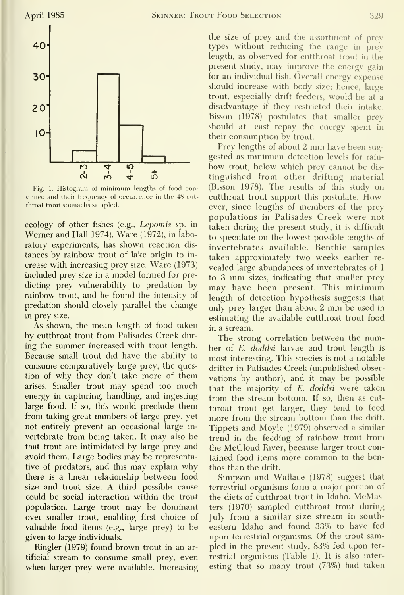

Fig. 1. Histogram of minimum lengths of food con sumed and their frequency of occurrence in the 48 cutthroat trout stomachs sampled.

ecology of other fishes (e.g., Lepomis sp. in Werner and Hall 1974). Ware (1972), in laboratory experiments, has shown reaction dis tances by rainbow trout of lake origin to in crease with increasing prey size. Ware (1973) included prey size in a model formed for predicting prey vulnerability to predation by rainbow trout, and he found the intensity of predation should closely parallel the change in prey size.

As shown, the mean length of food taken by cutthroat trout from Palisades Creek during the summer increased with trout length. Because small trout did have the ability to consume comparatively large prey, the question of why they don't take more of them arises. Smaller trout may spend too much energy in capturing, handling, and ingesting large food. If so, this would preclude them from taking great numbers of large prey, yet not entirely prevent an occasional large in vertebrate from being taken. It may also be that trout are intimidated by large prey and avoid them. Large bodies may be representative of predators, and this may explain why there is a linear relationship between food size and trout size. A third possible cause could be social interaction within the trout population. Large trout may be dominant over smaller trout, enabling first choice of valuable food items (e.g., large prey) to be given to large individuals.

Ringler (1979) found brown trout in an artificial stream to consume small prey, even when larger prey were available. Increasing the size of prey and the assortment of prey types without reducing the range in prey length, as observed for cutthroat trout in the present study, may improve the energy gain for an individual fish. Overall energy expense should increase with body size; hence, large trout, especially drift feeders, would be at a disadvantage if they restricted their intake. Bisson (1978) postulates that smaller prey should at least repay the energy spent in their consumption by trout.

Prey lengths of about <sup>2</sup> mm have been sug gested as minimum detection levels for rain bow trout, below which prey cannot be dis tinguished from other drifting material (Bisson 1978). The results of this study on cutthroat trout support this postulate. However, since lengths of members of the prey populations in Palisades Creek were not taken during the present study, it is difficult to speculate on the lowest possible lengths of invertebrates available. Benthic samples taken approximately two weeks earlier re vealed large abundances of invertebrates of <sup>1</sup> to <sup>3</sup> mm sizes, indicating that smaller prey may have been present. This minimum length of detection hypothesis suggests that only prey larger than about <sup>2</sup> mm be used in estimating the available cutthroat trout food in a stream.

The strong correlation between the number of E. doddsi larvae and trout length is most interesting. This species is not a notable drifter in Palisades Creek (unpublished obser vations by author), and it may be possible that the majority of E. doddsi were taken from the stream bottom. If so, then as cut throat trout get larger, they tend to feed more from the stream bottom than the drift. Tippets and Moyle (1979) observed a similar trend in the feeding of rainbow trout from the McCloud River, because larger trout contained food items more common to the benthos than the drift.

Simpson and Wallace (1978) suggest that terrestrial organisms form a major portion of the diets of cutthroat trout in Idaho. McMasters (1970) sampled cutthroat trout during July from a similar size stream in southeastern Idaho and found 33% to have fed upon terrestrial organisms. Of the trout sampled in the present study, 83% fed upon ter restrial organisms (Table 1). It is also inter esting that so many trout (73%) had taken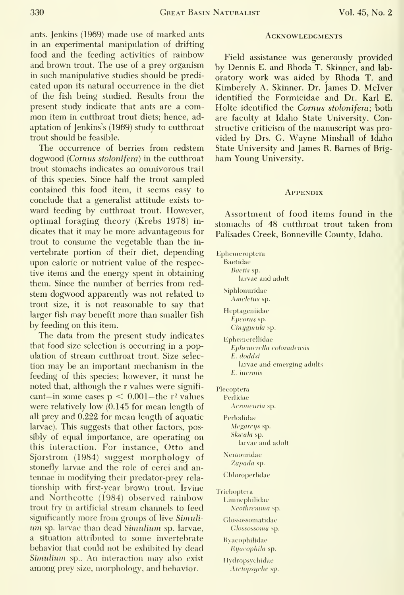ants. Jenkins (1969) made use of marked ants in an experimental manipulation of drifting food and the feeding activities of rainbow and brown trout. The use of a prey organism in such manipulative studies should be predi cated upon its natural occurrence in the diet of the fish being studied. Results from the present study indicate that ants are a com mon item in cutthroat trout diets; hence, ad aptation of Jenkins's (1969) study to cutthroat trout should be feasible.

The occurrence of berries from redstem dogwood (Cornus stolonifera) in the cutthroat trout stomachs indicates an omnivorous trait of this species. Since half the trout sampled contained this food item, it seems easy to conclude that a generalist attitude exists to ward feeding by cutthroat trout. However, optimal foraging theory (Krebs 1978) in dicates that it may be more advantageous for trout to consume the vegetable than the in vertebrate portion of their diet, depending upon caloric or nutrient value of the respective items and the energy spent in obtaining them. Since the number of berries from red stem dogwood apparently was not related to trout size, it is not reasonable to say that larger fish may benefit more than smaller fish by feeding on this item.

The data from the present study indicates that food size selection is occurring in a population of stream cutthroat trout. Size selec tion may be an important mechanism in the feeding of this species; however, it must be noted that, although the r values were significant—in some cases  $p < 0.001$ —the r<sup>2</sup> values were relatively low (0.145 for mean length of all prey and 0.222 for mean length of aquatic larvae). This suggests that other factors, possibly of equal importance, are operating on this interaction. For instance. Otto and Sjorstrom (1984) suggest morphology of stonefly larvae and the role of cerci and an tennae in modifying their predator-prey rela tionship with first-year brown trout. Irvine and Northcotte (1984) observed rainbow trout fry in artificial stream channels to feed significantly more from groups of live Simuli um sp. larvae than dead Simulium sp. larvae, a situation attributed to some invertebrate behavior that could not be exliibited by dead Simulium sp.. An interaction may also exist among prey size, morphology, and behavior.

#### **ACKNOWLEDGMENTS**

Field assistance was generously provided by Dennis E. and Rhoda T. Skinner, and lab oratory work was aided by Rhoda T. and Kimberely A. Skinner. Dr. James D. Mclver identified the Formicidae and Dr. Karl E. Holte identified the Cornus stolonifera; both are faculty at Idaho State University. Constructive criticism of the manuscript was pro vided by Drs. G. Wayne Minshall of Idaho State University and James R. Barnes of Brig ham Young University.

#### **APPENDIX**

Assortment of food items found in the stomachs of 48 cutthroat trout taken from Palisades Creek, Bonneville County, Idaho.

Ephemeroptera

Baetidae

Baetis sp. larvae and adult

**Siphlonuridae** Ameletus sp.

Heptageniidae Epcorus sp. Cinygmula sp.

Ephemerellidae Ephemerella coloradensis E. doddsi larvae and emerging adults E. incrmis

Plecoptera

Perlidae Acroneuria sp.

Ferlodidae Megarcys sp. Skicala sp. larvae and adult

Nemouridae Zapada sp.

Chloroperlidae

Trichoptera Limnephilidae Neothreimia sp.

> Glossossomatidae Glossossoma sp.

Rvacophilidae Hijdcophihi sp.

Hydropsychidae Arctopsyche sp.